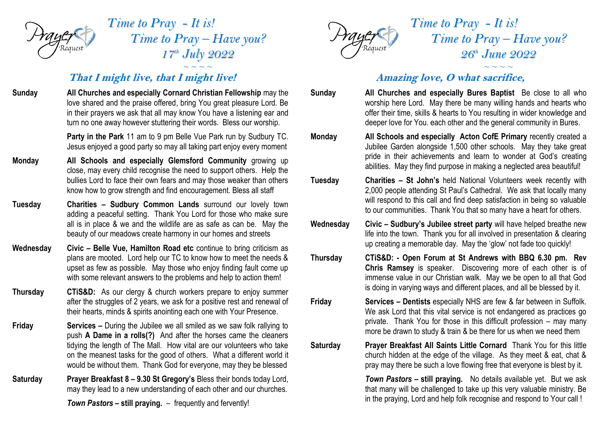

*Time to Pray - It is! Time to Pray – Have you? 17 th July 2022*  $\sim$   $\sim$   $\sim$   $\sim$ 

## **That I might live, that I might live!**

- **Sunday All Churches and especially Cornard Christian Fellowship** may the love shared and the praise offered, bring You great pleasure Lord. Be in their prayers we ask that all may know You have a listening ear and turn no one away however stuttering their words. Bless our worship. **Party in the Park** 11 am to 9 pm Belle Vue Park run by Sudbury TC. Jesus enjoyed a good party so may all taking part enjoy every moment
- **Monday All Schools and especially Glemsford Community** growing up close, may every child recognise the need to support others. Help the bullies Lord to face their own fears and may those weaker than others know how to grow strength and find encouragement. Bless all staff
- **Tuesday Charities – Sudbury Common Lands** surround our lovely town adding a peaceful setting. Thank You Lord for those who make sure all is in place & we and the wildlife are as safe as can be. May the beauty of our meadows create harmony in our homes and streets
- **Wednesday Civic – Belle Vue, Hamilton Road etc** continue to bring criticism as plans are mooted. Lord help our TC to know how to meet the needs & upset as few as possible. May those who enjoy finding fault come up with some relevant answers to the problems and help to action them!
- **Thursday CTiS&D:** As our clergy & church workers prepare to enjoy summer after the struggles of 2 years, we ask for a positive rest and renewal of their hearts, minds & spirits anointing each one with Your Presence.
- **Friday Services –** During the Jubilee we all smiled as we saw folk rallying to push **A Dame in a rolls(?)** And after the horses came the cleaners tidying the length of The Mall. How vital are our volunteers who take on the meanest tasks for the good of others. What a different world it would be without them. Thank God for everyone, may they be blessed
- **Saturday Prayer Breakfast 8 – 9.30 St Gregory's** Bless their bonds today Lord, may they lead to a new understanding of each other and our churches.

*Town Pastors* **– still praying.** – frequently and fervently!



*Time to Pray - It is! Time to Pray – Have you? 26 th June 2022*

## *~ ~ ~ ~* **Amazing love, O what sacrifice,**

- **Sunday All Churches and especially Bures Baptist** Be close to all who worship here Lord. May there be many willing hands and hearts who offer their time, skills & hearts to You resulting in wider knowledge and deeper love for You. each other and the general community in Bures.
- **Monday All Schools and especially Acton CofE Primary** recently created a Jubilee Garden alongside 1,500 other schools. May they take great pride in their achievements and learn to wonder at God's creating abilities. May they find purpose in making a neglected area beautiful!
- **Tuesday Charities – St John's** held National Volunteers week recently with 2,000 people attending St Paul's Cathedral. We ask that locally many will respond to this call and find deep satisfaction in being so valuable to our communities. Thank You that so many have a heart for others.
- **Wednesday Civic – Sudbury's Jubilee street party** will have helped breathe new life into the town. Thank you for all involved in presentation & clearing up creating a memorable day. May the 'glow' not fade too quickly!
- **Thursday CTiS&D: - Open Forum at St Andrews with BBQ 6.30 pm. Rev Chris Ramsey** is speaker. Discovering more of each other is of immense value in our Christian walk. May we be open to all that God is doing in varying ways and different places, and all be blessed by it.
- **Friday Services – Dentists** especially NHS are few & far between in Suffolk. We ask Lord that this vital service is not endangered as practices go private. Thank You for those in this difficult profession – may many more be drawn to study & train & be there for us when we need them
- **Saturday Prayer Breakfast All Saints Little Cornard** Thank You for this little church hidden at the edge of the village. As they meet & eat, chat & pray may there be such a love flowing free that everyone is blest by it.

*Town Pastors* **– still praying.** No details available yet. But we ask that many will be challenged to take up this very valuable ministry. Be in the praying, Lord and help folk recognise and respond to Your call !